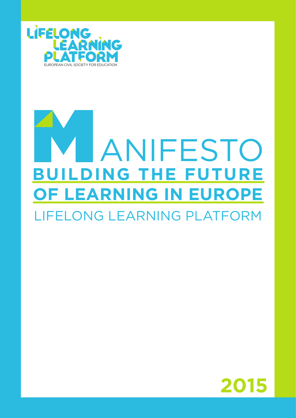

# **BUILDING THE FUTURE OF LEARNING IN EUROPE** LIFELONG LEARNING PLATFORM **LANIFESTO**

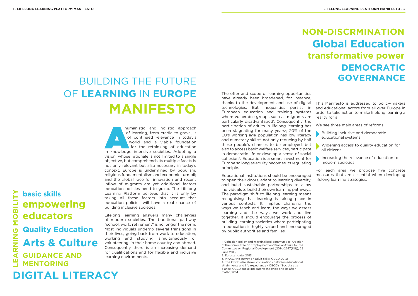# BUILDING THE FUTURE OF **LEARNING** IN **EUROPE MANIFESTO**

2. Eurostat data, 2013;

The offer and scope of learning opportunities have already been broadened, for instance, thanks to the development and use of digital technologies. But inequalities persist in European education and training systems where vulnerable groups such as migrants are particularly disadvantaged<sup>1</sup>. Consequently, the participation of adults in lifelong learning has been stagnating for many years<sup>2</sup>; 20% of the EU's working age population has low literacy and numeracy skills $3$ , not only reducing by half these people's chances to be employed, but also to access basic welfare services, participate in democratic life or develop a sense of social cohesion4. Education is a smart investment for Europe so long as equity becomes its regulating principle. This Manifesto is addressed to policy-makers and educational actors from all over Europe in order to take action to make lifelong learning a reality for all! We see three main areas of reforms: Building inclusive and democratic educational systems Widening access to quality education for all citizens Increasing the relevance of education to modern societies

Educational institutions should be encouraged to open their doors, adapt to learning diversity, and build sustainable partnerships to allow individuals to build their own learning pathways. The paradigm shift to lifelong learning means recognising that learning is taking place in various contexts. It implies changing the ways we teach and learn, the ways we assess learning and the ways we work and live together. It should encourage the process of building learning societies where participating in education is highly valued and encouraged by public authorities and families.

humanistic and holistic approach<br>
of learning, from cradle to grave, is<br>
of continued relevance in today's<br>
world and a viable foundation<br>
for the rethinking of education<br>
in knowledge intensive societies. Adopting a of learning, from cradle to grave, is of continued relevance in today's world and a viable foundation for the rethinking of education vision, whose rationale is not limited to a single objective, but comprehends its multiple facets is not only relevant but also necessary in today's context. Europe is undermined by populism, religious fundamentalism and economic turmoil; and the global race for innovation and recent inflow of migrants are yet additional factors education policies need to grasp. The Lifelong Learning Platform believes that it is only by taking all these factors into account that education policies will have a real chance of building inclusive societies.

For each area we propose five concrete measures that are essential when developing lifelong learning strategies.

# **transformative power Global Education NON-DISCRMINATION DEMOCRATIC GOVERNANCE**







# **basic skills Quality Education empowering educators Arts & Culture GUIDANCE AND MENTORING**

Lifelong learning answers many challenges of modern societies. The traditional pathway "school, work, retirement" is no longer the norm. Most individuals undergo several transitions in their lives, going back from work to education, working and studying simultaneously or volunteering, in their home country and abroad. Consequently there is an increasing demand for qualifications and for flexible and inclusive learning environments.

<sup>1.</sup> Cohesion policy and marginalised communities, Opinion of the Committee on Employment and Social Affairs for the Committee on Regional Development (2014/2247(INI)), 25 June 2015;

<sup>3.</sup> PIAAC, the survey on adult skills, OECD 2013; 4. The OECD also shows correlations between educational attainments and life expectancy - OECD's "Society at a glance. OECD social indicators: the crisis and its aftermath", 2014.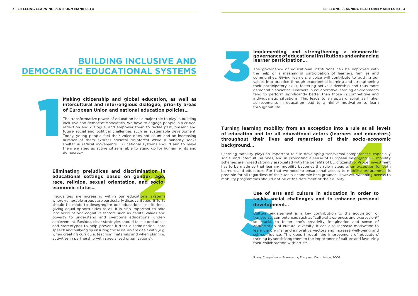## **BUILDING INCLUSIVE AND DEMOCRATIC EDUCATIONAL SYSTEMS**

1

# **Eliminating prejudices and discrimination in**<br> **educational settings based on gender, age,**<br> **race, religion, sexual orientation, and socio-**<br> **economic status...**<br>
Inequalities are increasing within our educational syste **educational settings based on gender, age, race, religion, sexual orientation, and socioeconomic status…**

Inequalities are increasing within our educational systems where vulnerable groups are particularly disadvantaged. Efforts should be made to desegregate our educational institutions, giving equal opportunities to all. It is also important to take into account non-cognitive factors such as habits, values and poverty to understand and overcome educational underachievement. Besides, clear strategies should tackle prejudices and stereotypes to help prevent further discrimination, hate speech and bullying by ensuring those issues are dealt with (e.g. when creating curricula, teaching materials and when planning activities in partnership with specialised organisations).

#### **Implementing and strengthening a democratic governance of educational institutions and enhancing learner participation...**

**socio-econom**<br>
Impetences, especia<br>
International EU mobil<br>
International exception<br>
International conditions<br>
International exception<br>
International exception<br>
International exception<br>
International exception<br>
Internatio Learning mobility plays an important role in developing transversal competences, especially social and intercultural ones, and in promoting a sense of European belonging. EU mobility schemes are indeed strongly associated with the benefits of EU citizenship. Proper investment has to be made so that learning mobility becomes the rule instead of an exception for both learners and educators. For that we need to ensure that access to mobility programmes is possible for all regardless of their socio-economic backgrounds. However, widening access to mobility programmes should not be at the detriment of their quality.

The governance of educational institutions can be improved with the help of a meaningful participation of learners, families and communities. Giving learners a voice will contribute to putting our values into practice through experiential learning and strengthening their participatory skills, fostering active citizenship and thus more democratic societies. Learners in collaborative learning environments tend to perform significantly better than those in competitive and individualistic situations. This leads to an upward spiral as higher achievements in education lead to a higher motivation to learn throughout life.

Use of a<br>
tackle some<br>
developm<br>
cultural en<br>
transversal<br>
so crucial<br>
appreciation<br>
learn via ori<br>
self-confide<br>
training by s<br>
their collabor Cultural engagement is a key contribution to the acquisition of transversal competences such as "cultural awareness and expression5" so crucial to foster one's creativity, imagination and sense of appreciation of cultural diversity. It can also increase motivation to learn via original and innovative vectors and increase well-being and self-confidence. This goes through the improvement of educators' training by sensitizing them to the importance of culture and favouring their collaboration with artists.

3

#### **Turning learning mobility from an exception into a rule at all levels of education and for all educational actors (learners and educators) throughout their lives and regardless of their socio-economic background…**

#### **Use of arts and culture in education in order to tackle social challenges and to enhance personal development…**

#### **Making citizenship and global education, as well as intercultural and interreligious dialogue, priority areas of European Union and national education policies…**

The transformative power of education has a major role to play in building inclusive and democratic societies. We have to engage people in a critical reflection and dialogue, and empower them to tackle past, present and future social and political challenges such as sustainable development. Today, young people feel their voice does not count and an increasing number of them express societal disinterest while a minority seeks shelter in radical movements. Educational systems should aim to make them engaged as active citizens, able to stand up for human rights and democracy.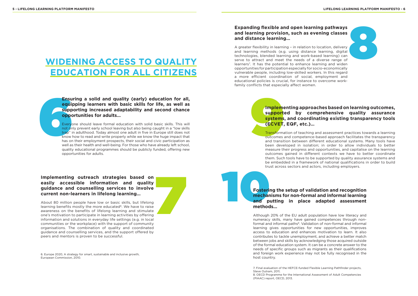# **WIDENING ACCESS TO QUALITY EDUCATION FOR ALL CITIZENS**

Ensu<br>
equit<br>
supp<br>
oppc<br>
Deveryd<br>
Everyd<br>
not on<br>
trap" it<br>
know has on **Ensuring a solid and quality (early) education for all, equipping learners with basic skills for life, as well as supporting increased adaptability and second chance opportunities for adults…**

Everyone should leave formal education with solid basic skills. This will not only prevent early school leaving but also being caught in a "low skills" trap" in adulthood. Today almost one adult in five in Europe still does not know how to read and write properly while we know the huge impact that has on their employment prospects, their social and civic participation as well as their health and well-being. For those who have already left school, quality educational programmes should be publicly funded, offering new opportunities for adults.

**Implementing outreach strategies based on easily accessible information and quality guidance and counselling services to involve current non-learners in lifelong learning...<br>About 80 million people have low or basic skill** About 80 million people have low or basic skills, but lifelong learning benefits mostly the more educated<sup>6</sup>. We have to raise awareness on the benefits of lifelong learning and stimulate one's motivation to participate in learning activities by offering information and solutions in everyday life settings (e.g. in local communities or the workplace) with the support of community organisations. The combination of quality and coordinated guidance and counselling services, and the support offered by peers and mentors is proven to be successful.

#### **easily accessible information and quality guidance and counselling services to involve current non-learners in lifelong learning…**

**Expanding flexible and open learning pathways<br>
and learning provision, such as evening classes<br>
and distance learning...<br>
A greater flexibility in learning - in relation to location, delivery<br>
and learning methods (e.g. u** A greater flexibility in learning – in relation to location, delivery and learning methods (e.g. using distance learning, digital technologies, blended learning and work-based learning) can serve to attract and meet the needs of a diverse range of learners<sup>7</sup>. It has the potential to enhance learning and widen opportunities for participation especially for socio-economically vulnerable people, including low-skilled workers. In this regard a more efficient coordination of social, employment and educational policies is crucial, for instance to overcome workfamily conflicts that especially affect women.

# **Impleme**<br>
support<br>
systems<br>
(ECVET,<br>
Transforma<br>
outcomes<br>
and transit **Implementing approaches based on learning outcomes, supported by comprehensive quality assurance systems, and coordinating existing transparency tools (ECVET, EQF, etc.)…**

## **and learning provision, such as evening classes and distance learning…**

## Fosteri<br>
Fosteri<br>
mechar<br>
and<br>
p<br>
method **Fostering the setup of validation and recognition mechanisms for non-formal and informal learning and putting in place adapted assessment methods…**

Transformation of teaching and assessment practices towards a learning outcomes and competence-based approach facilitates the transparency and transition between different educational systems. Many tools have been developed in isolation; in order to allow individuals to better measure their progress and opportunities, and capitalise on the learning outcomes gained in different contexts we have to better coordinate them. Such tools have to be supported by quality assurance systems and be embedded in a framework of national qualifications in order to build trust across sectors and actors, including employers.

7. Final evaluation of the HEFCE-funded Flexible Learning Pathfinder projects, Steve Outram, 2011; 8. OECD Programme for the International Assessment of Adult Competencies

(PIAAC) report, OECD, 2013.

Although 20% of the EU adult population have low literacy and numeracy skills, many have gained competences through nonformal and informal paths<sup>8</sup>. Validation of non-formal and informal learning gives opportunities for new opportunities, improves access to education and enhances motivation to learn. It also contributes to tackle unemployment, and achieve a better match between jobs and skills by acknowledging those acquired outside of the formal education system. It can be a concrete answer to the needs of specific groups such as migrants as their qualifications and foreign work experience may not be fully recognised in the host country.

6. Europe 2020, A strategy for smart, sustainable and inclusive growth, European Commission, 2010.

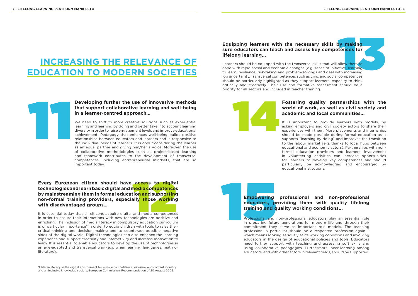# **INCREASING THE RELEVANCE OF EDUCATION TO MODERN SOCIETIES**



# 11 **Developing further the use of innovative methods that support collaborative learning and well-being in a learner-centred approach...**

# Empowering<br>
educators, pl<br>
training and q<br>
Professional and<br>
in preparing future<br>
commitment they **Empowering professional and non-professional educators, providing them with quality lifelong training and quality working conditions...**

We need to shift to more creative solutions such as experiential learning and learning by doing and better take into account learning diversity in order to raise engagement levels and improve educational achievement. Pedagogy that enhances well-being builds positive relationships between educators and learners and is responsive to the individual needs of learners. It is about considering the learner as an equal partner and giving him/her a voice. Moreover, the use of collaborative methodologies such as project-based learning and teamwork contributes to the development of transversal competences, including entrepreneurial mindsets, that are so important today.

#### **access to digita**<br> **nedia competences**<br> **ion and supporting**<br> **and media competences**<br>
and media competences **Every European citizen should have access to digital technologies and learn basic digital and media competences by mainstreaming them in formal education and supporting non-formal training providers, especially those working with disadvantaged groups…**

Professional and non-professional educators play an essential role in preparing future generations for modern life and through their commitment they serve as important role models. The teaching profession in particular should be a respected profession again – which means looking seriously at its working conditions and involving educators in the design of educational policies and tools. Educators need further support with teaching and assessing soft skills and using collaborative pedagogies. Furthermore, peer-learning among educators, and with other actors in relevant fields, should be supported.

**y making<br>
tences for<br>
allow them to<br>
allow them to<br>
ith increasing<br>
competences** Learners should be equipped with the transversal skills that will allow them to cope with rapid social and economic changes (e.g. sense of initiative, learning to learn, resilience, risk-taking and problem-solving) and deal with increasing job uncertainty. Transversal competences such as civic and social competences should be particularly highlighted as they support learners' capacity to think critically and creatively. Their use and formative assessment should be a priority for all sectors and included in teacher training.

It is essential today that all citizens acquire digital and media competences in order to ensure their interactions with new technologies are positive and enriching. The inclusion of media literacy in compulsory education curriculum is of particular importance<sup>9</sup> in order to equip children with tools to raise their critical thinking and decision making and to counteract possible negative sides of the digital world. Digital technologies can also enhance the learning experience and support creativity and interactivity and increase motivation to learn. It is essential to enable educators to develop the use of technologies in an age-adapted and transversal way (e.g. when learning languages, math or literature).

#### **Equipping learners with the necessary skills by making sure educators can teach and assess key competences for lifelong learning...**

#### **Fostering quality partnerships with the world of work, as well as civil society and academic and local communities...**

It is important to provide learners with models, by asking employers and civil society actors to share their experiences with them. More placements and internships should be made possible during formal education as it supports "learning by doing" and improves the transition to the labour market (e.g. thanks to local hubs between educational and economic actors). Partnerships with nonformal education providers and learners' involvement in volunteering activities can increase opportunities for learners to develop key competences and should particularly be acknowledged and encouraged by educational institutions.

9. Media literacy in the digital environment for a more competitive audiovisual and content industry and an inclusive knowledge society, European Commission, Recommendation of 20 August 2009.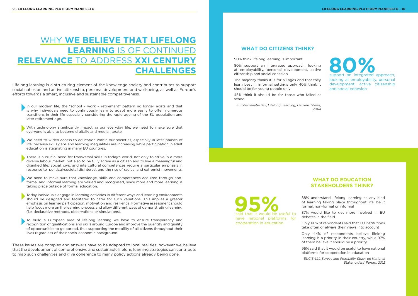# WHY **WE BELIEVE THAT LIFELONG LEARNING** IS OF CONTINUED **RELEVANCE** TO ADDRESS **XXI CENTURY CHALLENGES**

Lifelong learning is a structuring element of the knowledge society and contributes to support social cohesion and active citizenship, personal development and well-being, as well as Europe's efforts towards a smart, inclusive and sustainable competitiveness.

In our modern life, the "school - work - retirement" pattern no longer exists and that is why individuals need to continuously learn to adapt more easily to often numerous transitions in their life especially considering the rapid ageing of the EU population and later retirement age.

These issues are complex and answers have to be adapted to local realities, however we believe that the development of comprehensive and sustainable lifelong learning strategies can contribute to map such challenges and give coherence to many policy actions already being done.

There is a crucial need for transversal skills in today's world, not only to strive in a more diverse labour market, but also to be fully active as a citizen and to live a meaningful and dignified life. Social, civic and intercultural competences require a particular emphasis in response to political/societal disinterest and the rise of radical and extremist movements.

With technology significantly impacting our everyday life, we need to make sure that everyone is able to become digitally and media literate.

We need to widen access to education within our societies, especially in later phases of life, because skills gaps and learning inequalities are increasing while participation in adult education is stagnating in many EU countries.

We need to make sure that knowledge, skills and competences acquired through nonformal and informal learning are valued and recognised, since more and more learning is taking place outside of formal education.

Today individuals engage in learning activities in different ways and learning environments should be designed and facilitated to cater for such variations. This implies a greater emphasis on learner participation, motivation and resilience. Formative assessment should help focus more on the learning process and allow different ways of demonstrating learning (i.e. declarative methods, observations or simulations).

To build a European area of lifelong learning we have to ensure transparency and recognition of qualifications and skills around Europe and improve the quantity and quality of opportunities to go abroad, thus supporting the mobility of all citizens throughout their lives regardless of their socio-economic background.

88% understand lifelong learning as any kind of learning taking place throughout life, be it formal, non-formal or informal

87% would like to get more involved in EU debates in the field

Only 19 % of repondents said that EU institutions take often or always their views into account

Only 44% of respondents believe lifelong learning is a priority in their country, while 97% of them believe it should be a priority

95% said that it would be useful to have national platforms for cooperation in education

EUCIS-LLL Survey and Feasibility Study on National Stakeholders' Forum, 2012

#### **WHAT DO EDUCATION STAKEHOLDERS THINK?**

90% think lifelong learning is important

80% support an integrated approach, looking at employability, personal development, active citizenship and social cohesion

The majority thinks it is for all ages and that they learn best in informal settings only 40% think it should be for young people only

45% think it should be for those who failed at school

**95%**<br>
said that it would be useful to

Eurobarometer 185, Lifelong Learning; Citizens' Views, 2003

#### **WHAT DO CITIZENS THINK?**



have national platforms for

cooperation in education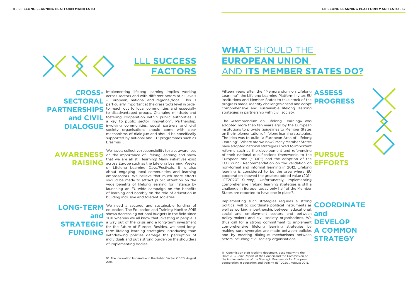



Implementing lifelong learning implies working **CROSS**across sectors and with different actors at all levels **SECTORAL** - European, national and regional/local. This is **SECTORAL** - extinctive important at the grassroots loved in order particularly important at the grassroots level in order **PARTNERSHIPS** to reach out to local communities and especially to disadvantaged groups. Changing mindsets and and CIVIL fostering cooperation within public authorities is a key to public sector innovation<sup>10</sup>. Partnership, **DIALOGUE** involving communities, social partners and civil society organisations should come with clear mechanisms of dialogue and should be specifically supported by national and EU programmes such as Erasmus+.

We have a collective responsibility to raise awareness on the importance of lifelong learning and show **AWARENESS**  that we are all still learning! Many initiatives exist RAISING across Europe such as the Lifelong Learning Weeks or Lifelong Learning Days/Festivals. It is also about engaging local communities and learning ambassadors. We believe that much more efforts should be made to attract public attention on the wide benefits of lifelong learning for instance by launching an EU-wide campaign on the benefits of learning and notably on the role of education in building inclusive and tolerant societies.

The «Memorandum on Lifelong Learning» was adopted more than ten years ago by the European institutions to provide guidelines to Member States on the implementation of lifelong learning strategies. The idea was to build "a European Area of Lifelong Learning". Where are we now? Many Member States have adopted national strategies linked to important reforms such as the development and referencing of their national qualifications frameworks to the  $\mathbf{P}$ European one ("EQF") and the adoption of the EU Council Recommendation on the validation on **EFFORTS** non-formal and informal learning in 2012. Lifelong learning is considered to be the area where EU cooperation showed the greatest added value (2014 "ET2020" Survey). Unfortunately, implementing comprehensive lifelong learning strategies is still a challenge in Europe; today only half of the Member States are reported to have one in place<sup>11</sup>.

We need a secured and sustainable funding of education. The Education and Training Monitor 2015 shows decreasing national budgets in the field since 2011 whereas we all know that investing in people is a way out of the crisis and a long-term investment for the future of Europe. Besides, we need long-**FUNDING** term lifelong learning strategies; introducing than withdrawing policies damage the perception of withdrawing policies damage the perception of individuals and put a strong burden on the shoulders of implementing bodies.

# **LONG-TERM and STRATEGIC**

# **WHAT** SHOULD THE **EUROPEAN UNION**  AND **ITS MEMBER STATES DO?**

Fifteen years after the "Memorandum on Lifelong Learning", the Lifelong Learning Platform invites EU institutions and Member States to take stock of the **PROGRESS** progress made, identify challenges ahead and adopt comprehensive and sustainable lifelong learning strategies in partnership with civil society.

Implementing such strategies requires a strong political will to coordinate political instruments as **COORDINATE** well as working in partnership between educational, social and employment sectors and between **and** policy-makers and civil society organisations. We thus call for a strong commitment to implement **DEVELOP**  comprehensive lifelong learning strategies by making sure synergies are made between policies **A COMMON** and by creating dialogue mechanisms between actors including civil society organisations.

# **STRATEGY**

# **PURSUE**

# **ASSESS**

10. The Innovation Imperative in the Public Sector, OECD, August 2015.

11. Commission staff working document, accompanying the Draft 2015 Joint Report of the Council and the Commission on the implementation of the Strategic Framework for European cooperation in education and training (ET 2020), August 2015.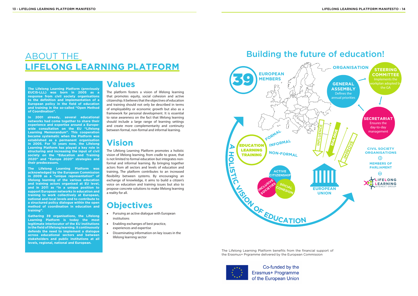**The Lifelong Learning Platform (previously EUCIS-LLL) was born in 2005 as a response from civil society organisations to the definition and implementation of a European policy in the field of education and training in the so-called "Open Method of Coordination".**

**In 2001 already, several educational networks had come together to share their experience and expertise around a Europewide consultation on the EU "Lifelong Learning Memorandum". This cooperation became systematic when the Platform was established as a permanent organisation in 2005. For 10 years now, the Lifelong Learning Platform has played a key role in structuring and increasing the input of civil society on the "Education and Training 2020" and "Europe 2020" strategies and their predecessors.**

**The Lifelong Learning Platform was acknowledged by the European Commission in 2009 as a "unique representation" of lifelong learning of the various education and training actors organised at EU level, and in 2011 as "in a unique position to support European networks in education and training to work collectively at European, national and local levels and to contribute to a structured policy dialogue within the open method of coordination in education and training".** 

**Gathering 39 organisations, the Lifelong Learning Platform is today the most legitimate interlocutor of the EU institutions in the field of lifelong learning. It continuously defends the need to implement a dialogue across educational sectors and between stakeholders and public institutions at all levels, regional, national and European.**

## **Values**

The platform fosters a vision of lifelong learning that promotes equity, social cohesion and active citizenship. It believes that the objectives of education and training should not only be described in terms of employability or economic growth but also as a framework for personal development. It is essential to raise awareness on the fact that lifelong learning should include a large range of learning settings and create more complementarity and continuity between formal, non-formal and informal learning.

## **Vision**

The Lifelong Learning Platform promotes a holistic vision of lifelong learning, from cradle to grave, that is not limited to formal education but integrates nonformal and informal learning. By bringing together actors from all sectors and levels of education and training, The platform contributes to an increased flexibility between systems. By encouraging an exchange of knowledge, it aims to build a citizen's voice on education and training issues but also to propose concrete solutions to make lifelong learning a reality for all.

## **Objectives**

- • Pursuing an active dialogue with European institutions
- • Enabling exchanges of best practice, experiences and expertise
- Disseminating information on key issues in the lifelong learning sector

# ABOUT THE **LIFELONG LEARNING PLATFORM**



The Lifelong Learning Platform benefits from the financial support of the Erasmus+ Prgramme delivered by the European Commission



Co-funded by the Erasmus+ Programme of the European Union